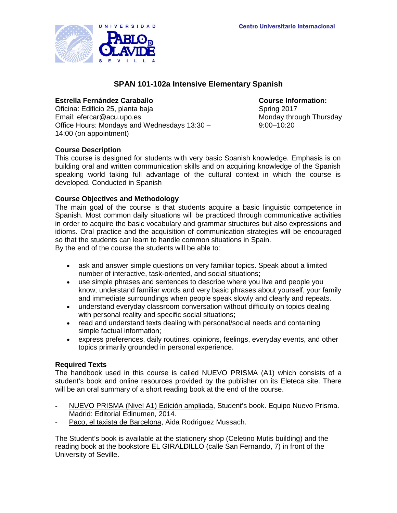

# **SPAN 101-102a Intensive Elementary Spanish**

**Estrella Fernández Caraballo Course Information:** Oficina: Edificio 25, planta baja Email: efercar@acu.upo.es Monday through Thursday Office Hours: Mondays and Wednesdays 13:30 – 14:00 (on appointment)

9:00–10:20

#### **Course Description**

This course is designed for students with very basic Spanish knowledge. Emphasis is on building oral and written communication skills and on acquiring knowledge of the Spanish speaking world taking full advantage of the cultural context in which the course is developed. Conducted in Spanish

#### **Course Objectives and Methodology**

The main goal of the course is that students acquire a basic linguistic competence in Spanish. Most common daily situations will be practiced through communicative activities in order to acquire the basic vocabulary and grammar structures but also expressions and idioms. Oral practice and the acquisition of communication strategies will be encouraged so that the students can learn to handle common situations in Spain. By the end of the course the students will be able to:

- ask and answer simple questions on very familiar topics. Speak about a limited number of interactive, task-oriented, and social situations;
- use simple phrases and sentences to describe where you live and people you know; understand familiar words and very basic phrases about yourself, your family and immediate surroundings when people speak slowly and clearly and repeats.
- understand everyday classroom conversation without difficulty on topics dealing with personal reality and specific social situations;
- read and understand texts dealing with personal/social needs and containing simple factual information;
- express preferences, daily routines, opinions, feelings, everyday events, and other topics primarily grounded in personal experience.

#### **Required Texts**

The handbook used in this course is called NUEVO PRISMA (A1) which consists of a student's book and online resources provided by the publisher on its Eleteca site. There will be an oral summary of a short reading book at the end of the course.

- NUEVO PRISMA (Nivel A1) Edición ampliada, Student's book. Equipo Nuevo Prisma. Madrid: Editorial Edinumen, 2014.
- Paco, el taxista de Barcelona, Aida Rodriguez Mussach.

The Student's book is available at the stationery shop (Celetino Mutis building) and the reading book at the bookstore EL GIRALDILLO (calle San Fernando, 7) in front of the University of Seville.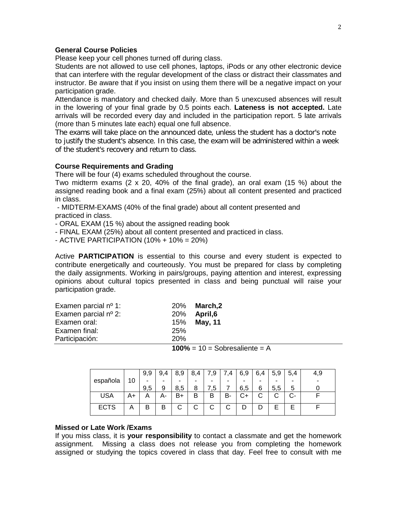#### **General Course Policies**

Please keep your cell phones turned off during class.

Students are not allowed to use cell phones, laptops, iPods or any other electronic device that can interfere with the regular development of the class or distract their classmates and instructor. Be aware that if you insist on using them there will be a negative impact on your participation grade.

Attendance is mandatory and checked daily. More than 5 unexcused absences will result in the lowering of your final grade by 0.5 points each. **Lateness is not accepted.** Late arrivals will be recorded every day and included in the participation report. 5 late arrivals (more than 5 minutes late each) equal one full absence.

The exams will take place on the announced date, unless the student has a doctor's note to justify the student's absence. In this case, the exam will be administered within a week of the student's recovery and return to class.

#### **Course Requirements and Grading**

There will be four (4) exams scheduled throughout the course.

Two midterm exams (2 x 20, 40% of the final grade), an oral exam (15 %) about the assigned reading book and a final exam (25%) about all content presented and practiced in class.

- MIDTERM-EXAMS (40% of the final grade) about all content presented and practiced in class.

- ORAL EXAM (15 %) about the assigned reading book

- FINAL EXAM (25%) about all content presented and practiced in class.

- ACTIVE PARTICIPATION (10% + 10% = 20%)

Active **PARTICIPATION** is essential to this course and every student is expected to contribute energetically and courteously. You must be prepared for class by completing the daily assignments. Working in pairs/groups, paying attention and interest, expressing opinions about cultural topics presented in class and being punctual will raise your participation grade.

| Examen parcial $n^{\circ}$ 1: |            | 20% March, 2 |
|-------------------------------|------------|--------------|
| Examen parcial nº 2:          | 20%        | April,6      |
| Examen oral:                  |            | 15% May, 11  |
| Examen final:                 | 25%        |              |
| Participación:                | <b>20%</b> |              |
|                               |            |              |

 $100\% = 10 =$ Sobresaliente = A

|             |    | 9,9 | 9,4 | 8,9    | -8.<br>.4 | 7,9    | .4 | 6,9 | 6,4 | 5,9 | 5,4                      | 4,9 |
|-------------|----|-----|-----|--------|-----------|--------|----|-----|-----|-----|--------------------------|-----|
| española    | 10 |     | -   |        | -         | -      | -  | -   | -   | -   | -                        |     |
|             |    | 9,5 | 9   | 8,5    | 8         | 5.     |    | 6,5 | 6   | 5,5 | 5                        |     |
| <b>USA</b>  | A+ | Α   | А-  | B+     | B         | B      | в- | r.  | ັ   | ັ   | $\overline{\phantom{a}}$ |     |
| <b>ECTS</b> | Α  | B   | B   | ⌒<br>U | ⌒<br>U    | ⌒<br>ັ | С  |     |     |     | ⊏                        |     |

#### **Missed or Late Work /Exams**

If you miss class, it is **your responsibility** to contact a classmate and get the homework assignment. Missing a class does not release you from completing the homework assigned or studying the topics covered in class that day. Feel free to consult with me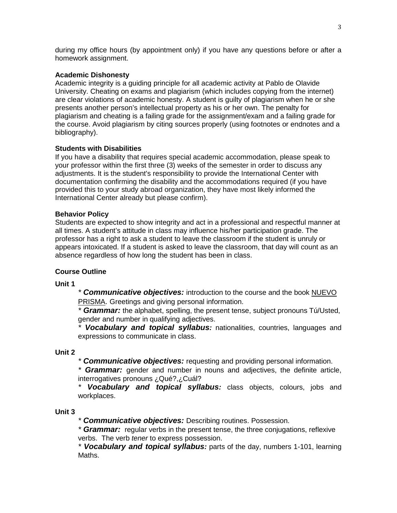during my office hours (by appointment only) if you have any questions before or after a homework assignment.

## **Academic Dishonesty**

Academic integrity is a guiding principle for all academic activity at Pablo de Olavide University. Cheating on exams and plagiarism (which includes copying from the internet) are clear violations of academic honesty. A student is guilty of plagiarism when he or she presents another person's intellectual property as his or her own. The penalty for plagiarism and cheating is a failing grade for the assignment/exam and a failing grade for the course. Avoid plagiarism by citing sources properly (using footnotes or endnotes and a bibliography).

# **Students with Disabilities**

If you have a disability that requires special academic accommodation, please speak to your professor within the first three (3) weeks of the semester in order to discuss any adjustments. It is the student's responsibility to provide the International Center with documentation confirming the disability and the accommodations required (if you have provided this to your study abroad organization, they have most likely informed the International Center already but please confirm).

# **Behavior Policy**

Students are expected to show integrity and act in a professional and respectful manner at all times. A student's attitude in class may influence his/her participation grade. The professor has a right to ask a student to leave the classroom if the student is unruly or appears intoxicated. If a student is asked to leave the classroom, that day will count as an absence regardless of how long the student has been in class.

# **Course Outline**

**Unit 1**

*\* Communicative objectives:* introduction to the course and the book NUEVO PRISMA. Greetings and giving personal information.

*\* Grammar:* the alphabet, spelling, the present tense, subject pronouns Tú/Usted, gender and number in qualifying adjectives.

*\* Vocabulary and topical syllabus:* nationalities, countries, languages and expressions to communicate in class.

## **Unit 2**

*\* Communicative objectives:* requesting and providing personal information.

*\* Grammar:* gender and number in nouns and adjectives, the definite article, interrogatives pronouns ¿Qué?,¿Cuál?

*\* Vocabulary and topical syllabus:* class objects, colours, jobs and workplaces.

## **Unit 3**

*\* Communicative objectives:* Describing routines. Possession.

*\* Grammar:* regular verbs in the present tense, the three conjugations, reflexive verbs. The verb *tener* to express possession.

*\* Vocabulary and topical syllabus:* parts of the day, numbers 1-101, learning Maths.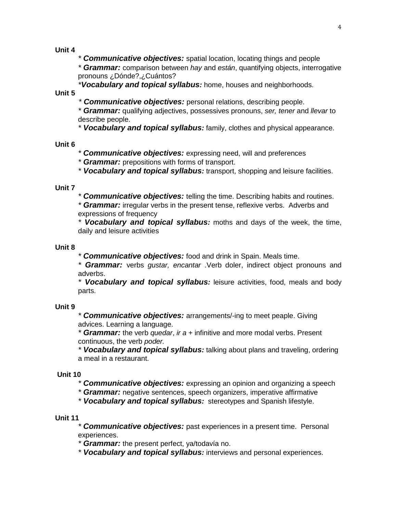**Unit 4**

*\* Communicative objectives:* spatial location, locating things and people *\* Grammar:* comparison between *hay* and *están*, quantifying objects, interrogative pronouns ¿Dónde?,¿Cuántos?

*\*Vocabulary and topical syllabus:* home, houses and neighborhoods.

**Unit 5**

*\* Communicative objectives:* personal relations, describing people.

*\* Grammar:* qualifying adjectives, possessives pronouns, *ser, tener* and *llevar* to describe people.

*\* Vocabulary and topical syllabus:* family, clothes and physical appearance.

#### **Unit 6**

*\* Communicative objectives:* expressing need, will and preferences

*\* Grammar:* prepositions with forms of transport.

*\* Vocabulary and topical syllabus:* transport, shopping and leisure facilities.

#### **Unit 7**

*\* Communicative objectives:* telling the time. Describing habits and routines.

*\* Grammar:* irregular verbs in the present tense, reflexive verbs. Adverbs and expressions of frequency

*\* Vocabulary and topical syllabus:* moths and days of the week, the time, daily and leisure activities

#### **Unit 8**

*\* Communicative objectives:* food and drink in Spain. Meals time.

*\* Grammar:* verbs *gustar, encantar* .Verb doler, indirect object pronouns and adverbs.

*\* Vocabulary and topical syllabus:* leisure activities, food, meals and body parts.

## **Unit 9**

*\* Communicative objectives:* arrangements/-ing to meet peaple. Giving advices. Learning a language.

*\* Grammar:* the verb *quedar*, *ir a* + infinitive and more modal verbs. Present continuous, the verb *poder.*

*\* Vocabulary and topical syllabus:* talking about plans and traveling, ordering a meal in a restaurant.

## **Unit 10**

*\* Communicative objectives:* expressing an opinion and organizing a speech

*\* Grammar:* negative sentences, speech organizers, imperative affirmative

*\* Vocabulary and topical syllabus:* stereotypes and Spanish lifestyle.

## **Unit 11**

*\* Communicative objectives:* past experiences in a present time. Personal experiences.

*\* Grammar:* the present perfect, ya/todavía no.

*\* Vocabulary and topical syllabus:* interviews and personal experiences.